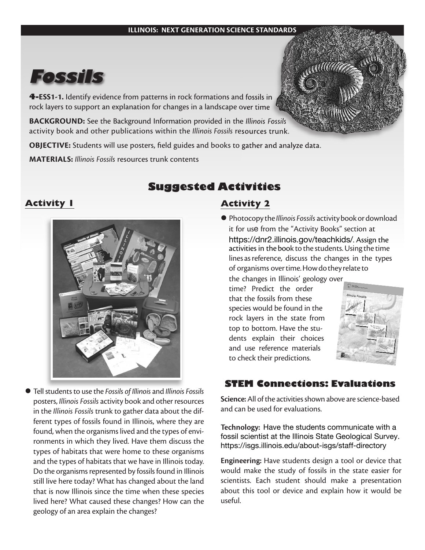#### **ILLINOIS: NEXT GENERATION SCIENCE STANDARDS**



**4-ESS1-1.** Identify evidence from patterns in rock formations and fossils in rock layers to support an explanation for changes in a landscape over time

**BACKGROUND:** See the Background Information provided in the *Illinois Fossils* activity book and other publications within the *Illinois Fossils* resources trunk.

**OBJECTIVE:** Students will use posters, field guides and books to gather and analyze data.

**MATERIALS:** *Illinois Fossils* resources trunk contents

## **Activity 1**



l Tell students to use the *Fossils of Illinois* and *Illinois Fossils* posters, *Illinois Fossils* activity book and other resources in the *Illinois Fossils* trunk to gather data about the different types of fossils found in Illinois, where they are found, when the organisms lived and the types of environments in which they lived. Have them discuss the types of habitats that were home to these organisms and the types of habitats that we have in Illinois today. Do the organisms represented by fossils found in Illinois still live here today? What has changed about the land that is now Illinois since the time when these species lived here? What caused these changes? How can the geology of an area explain the changes?

# **Suggested Activities**

## **Activity 2**

l Photocopy the *Illinois Fossils* activitybookordownload it for use from the "Activity Books" section at <https://dnr2.illinois.gov/teachkids/>. Assign the activities in the book to the students.Using the time lines asreference, discuss the changes in the types of organisms overtime.Howdothey relate to

the changes in Illinois' geology over time? Predict the order that the fossils from these species would be found in the rock layers in the state from top to bottom. Have the students explain their choices and use reference materials to check their predictions.



## **STEM Connections: Evaluation**

**Science:**All of the activities shown above are science-based and can be used for evaluations.

**Technology:** Have the students communicate with a fossil scientist at the Illinois State Geological Survey. <https://isgs.illinois.edu/about-isgs/staff-directory>

**Engineering:** Have students design a tool or device that would make the study of fossils in the state easier for scientists. Each student should make a presentation about this tool or device and explain how it would be useful.